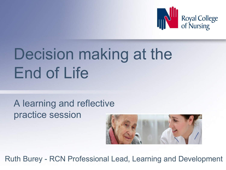

# Decision making at the End of Life

#### A learning and reflective practice session



Ruth Burey - RCN Professional Lead, Learning and Development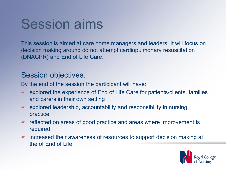## Session aims

This session is aimed at care home managers and leaders. It will focus on decision making around do not attempt cardiopulmonary resuscitation (DNACPR) and End of Life Care.

#### Session objectives:

By the end of the session the participant will have:

- explored the experience of End of Life Care for patients/clients, families and carers in their own setting
- explored leadership, accountability and responsibility in nursing practice
- reflected on areas of good practice and areas where improvement is required
- increased their awareness of resources to support decision making at the of End of Life

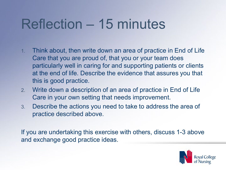# Reflection – 15 minutes

- 1. Think about, then write down an area of practice in End of Life Care that you are proud of, that you or your team does particularly well in caring for and supporting patients or clients at the end of life. Describe the evidence that assures you that this is good practice.
- 2. Write down a description of an area of practice in End of Life Care in your own setting that needs improvement.
- 3. Describe the actions you need to take to address the area of practice described above.

If you are undertaking this exercise with others, discuss 1-3 above and exchange good practice ideas.

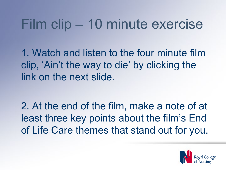# Film clip – 10 minute exercise

1. Watch and listen to the four minute film clip, 'Ain't the way to die' by clicking the link on the next slide.

2. At the end of the film, make a note of at least three key points about the film's End of Life Care themes that stand out for you.

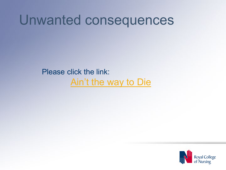## Unwanted consequences

Please click the link: Ain't [the way to Die](https://www.youtube.com/watch?v=NAlnRHicgWs)

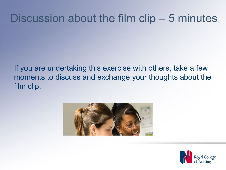### Discussion about the film clip – 5 minutes

If you are undertaking this exercise with others, take a few moments to discuss and exchange your thoughts about the film clip.



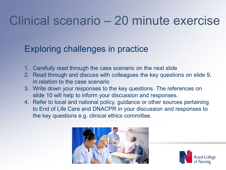## Clinical scenario – 20 minute exercise

#### Exploring challenges in practice

- 1. Carefully read through the case scenario on the next slide
- 2. Read through and discuss with colleagues the key questions on slide 9, in relation to the case scenario
- 3. Write down your responses to the key questions. The references on slide 10 will help to inform your discussion and responses.
- 4. Refer to local and national policy, guidance or other sources pertaining to End of Life Care and DNACPR in your discussion and responses to the key questions e.g. clinical ethics committee.



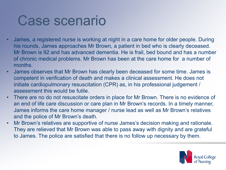## Case scenario

- James, a registered nurse is working at night in a care home for older people. During his rounds, James approaches Mr Brown, a patient in bed who is clearly deceased. Mr Brown is 92 and has advanced dementia. He is frail, bed bound and has a number of chronic medical problems. Mr Brown has been at the care home for a number of months.
- James observes that Mr Brown has clearly been deceased for some time. James is competent in verification of death and makes a clinical assessment. He does not initiate cardiopulmonary resuscitation (CPR) as, in his professional judgement / assessment this would be futile.
- There are no do not resuscitate orders in place for Mr Brown. There is no evidence of an end of life care discussion or care plan in Mr Brown's records. In a timely manner, James informs the care home manager / nurse lead as well as Mr Brown's relatives and the police of Mr Brown's death.
- Mr Brown's relatives are supportive of nurse James's decision making and rationale. They are relieved that Mr Brown was able to pass away with dignity and are grateful to James. The police are satisfied that there is no follow up necessary by them.

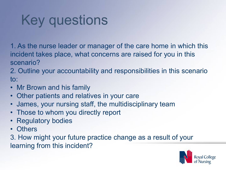# Key questions

1. As the nurse leader or manager of the care home in which this incident takes place, what concerns are raised for you in this scenario?

2. Outline your accountability and responsibilities in this scenario to:

- Mr Brown and his family
- Other patients and relatives in your care
- James, your nursing staff, the multidisciplinary team
- Those to whom you directly report
- **Regulatory bodies**
- Others

3. How might your future practice change as a result of your learning from this incident?

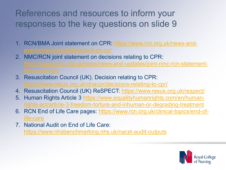#### References and resources to inform your responses to the key questions on slide 9

- 1. [RCN/BMA Joint statement on CPR: https://www.rcn.org.uk/news-and](https://www.rcn.org.uk/news-and-events/news/joint-statement-on-cpr)ents/news/joint-statement-on-cpr
- 2. NMC/RCN joint statement on decisions relating to CPR: [https://www.nmc.org.uk/news/news-and-updates/joint-nmc-rcn-statement-](https://www.nmc.org.uk/news/news-and-updates/joint-nmc-rcn-statement-decisions-cpr/)
- 3. Resuscitation Council (UK). Decision relating to CPR: <https://www.resus.org.uk/dnacpr/decisions-relating-to-cpr/>
- 4. Resuscitation Council (UK) ReSPECT: <https://www.resus.org.uk/respect/>
- 5. [Human Rights Article 3 https://www.equalityhumanrights.com/en/human](https://www.equalityhumanrights.com/en/human-rights-act/article-3-freedom-torture-and-inhuman-or-degrading-treatment)rights-act/article-3-freedom-torture-and-inhuman-or-degrading-treatment
- 6. [RCN End of Life Care pages: https://www.rcn.org.uk/clinical-topics/end-of](https://www.rcn.org.uk/clinical-topics/end-of-life-care)life-care
- 7. National Audit on End of Life Care: <https://www.nhsbenchmarking.nhs.uk/nacel-audit-outputs>

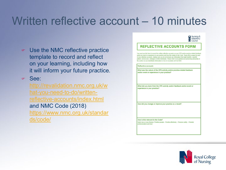## Written reflective account – 10 minutes

- Use the NMC reflective practice template to record and reflect on your learning, including how it will inform your future practice.
- See:

[http://revalidation.nmc.org.uk/w](http://revalidation.nmc.org.uk/what-you-need-to-do/written-reflective-accounts/index.html) hat-you-need-to-do/writtenreflective-accounts/index.html and NMC Code (2018) [https://www.nmc.org.uk/standar](https://www.nmc.org.uk/standards/code/) ds/code/

#### Nursing &<br>Midwifery<br>Council **REFLECTIVE ACCOUNTS FORM**

You must use this form to record five written reflective accounts on your CPD and/or practice-related feedba and/or an event or experience in your practice and how this relates to the Code. Please fill in a page for each of your reflective accounts, making sure you do not include any information that might identify a specific patient, service user, colleague or other individuals. Please refer to our guidance on preserving anonymity in the section on non-identifiable information in How to revalidate with the NMC.

#### Reflective account:

What was the nature of the CPD activity and/or practice-related feedback and/or event or experience in your practice?

What did you learn from the CPD activity and/or feedback and/or event or experience in your practice?

How did you change or improve your practice as a result?

How is this relevant to the Code? Select one or more themes: Prioritise people - Practise effectively - Preserve safety - Promote professionalism and trust

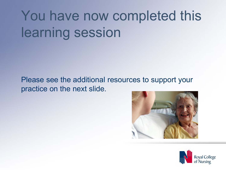# You have now completed this learning session

Please see the additional resources to support your practice on the next slide.



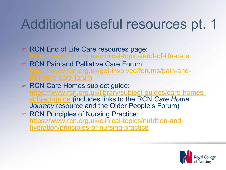# Additional useful resources pt. 1

- RCN End of Life Care resources page: <https://www.rcn.org.uk/clinical-topics/end-of-life-care>
- RCN Pain and Palliative Care Forum: [https://www.rcn.org.uk/get-involved/forums/pain-and-](https://www.rcn.org.uk/get-involved/forums/pain-and-palliative-care-forum) palliative-care-forum
- RCN Care Homes subject guide: [https://www.rcn.org.uk/library/subject-guides/care-homes-](https://www.rcn.org.uk/library/subject-guides/care-homes-subject-guide) subject-guide (includes links to the RCN *Care Home Journey* resource and the Older People's Forum)
- RCN Principles of Nursing Practice: [https://www.rcn.org.uk/clinical-topics/nutrition-and-](https://www.rcn.org.uk/clinical-topics/nutrition-and-hydration/principles-of-nursing-practice) hydration/principles-of-nursing-practice